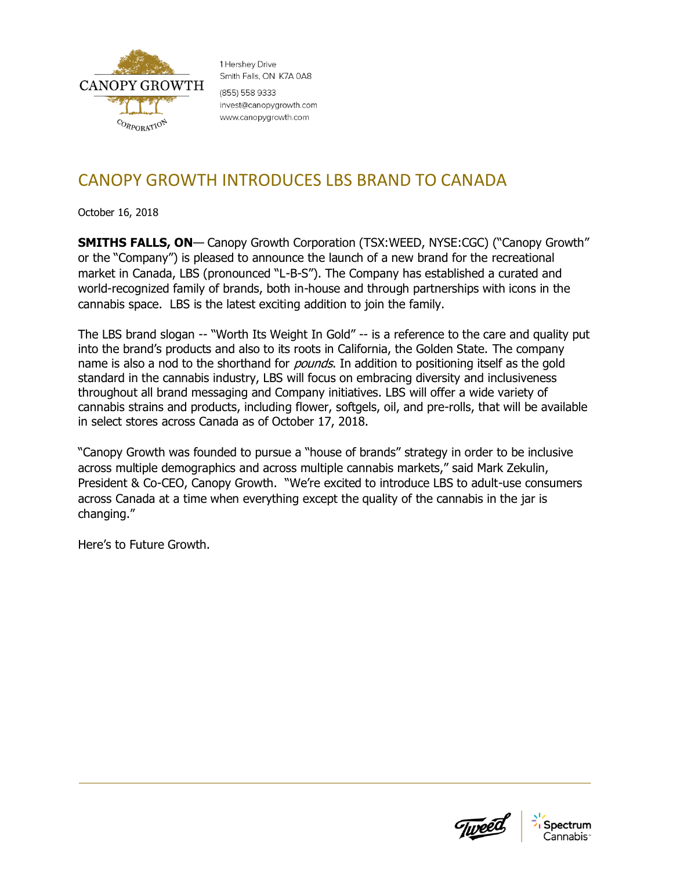

1 Hershey Drive Smith Falls, ON K7A 0A8 (855) 558 9333 invest@canopygrowth.com www.canopygrowth.com

## CANOPY GROWTH INTRODUCES LBS BRAND TO CANADA

October 16, 2018

**SMITHS FALLS, ON**— Canopy Growth Corporation (TSX:WEED, NYSE:CGC) ("Canopy Growth" or the "Company") is pleased to announce the launch of a new brand for the recreational market in Canada, LBS (pronounced "L-B-S"). The Company has established a curated and world-recognized family of brands, both in-house and through partnerships with icons in the cannabis space. LBS is the latest exciting addition to join the family.

The LBS brand slogan -- "Worth Its Weight In Gold" -- is a reference to the care and quality put into the brand's products and also to its roots in California, the Golden State. The company name is also a nod to the shorthand for *pounds*. In addition to positioning itself as the gold standard in the cannabis industry, LBS will focus on embracing diversity and inclusiveness throughout all brand messaging and Company initiatives. LBS will offer a wide variety of cannabis strains and products, including flower, softgels, oil, and pre-rolls, that will be available in select stores across Canada as of October 17, 2018.

"Canopy Growth was founded to pursue a "house of brands" strategy in order to be inclusive across multiple demographics and across multiple cannabis markets," said Mark Zekulin, President & Co-CEO, Canopy Growth. "We're excited to introduce LBS to adult-use consumers across Canada at a time when everything except the quality of the cannabis in the jar is changing."

Here's to Future Growth.